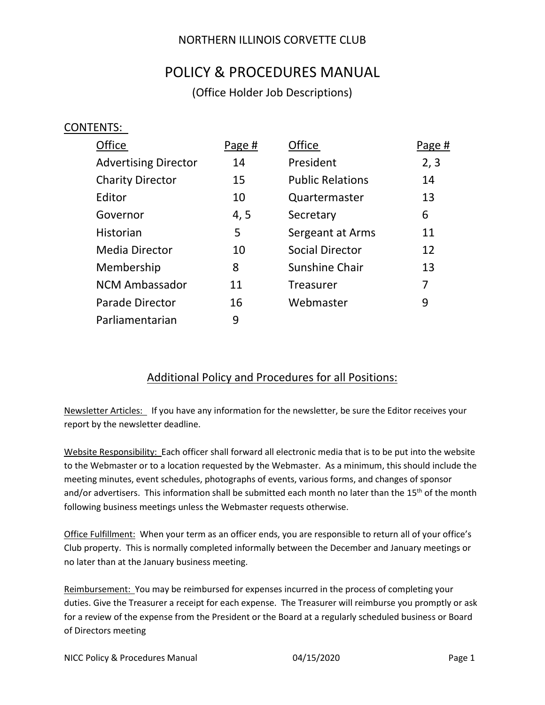### NORTHERN ILLINOIS CORVETTE CLUB

# POLICY & PROCEDURES MANUAL

(Office Holder Job Descriptions)

#### CONTENTS:

| Office                      | Page # | Office                  | Page # |
|-----------------------------|--------|-------------------------|--------|
| <b>Advertising Director</b> | 14     | President               | 2, 3   |
| <b>Charity Director</b>     | 15     | <b>Public Relations</b> | 14     |
| Editor                      | 10     | Quartermaster           | 13     |
| Governor                    | 4, 5   | Secretary               | 6      |
| Historian                   | 5      | Sergeant at Arms        | 11     |
| <b>Media Director</b>       | 10     | <b>Social Director</b>  | 12     |
| Membership                  | 8      | Sunshine Chair          | 13     |
| <b>NCM Ambassador</b>       | 11     | <b>Treasurer</b>        | 7      |
| <b>Parade Director</b>      | 16     | Webmaster               | 9      |
| Parliamentarian             | 9      |                         |        |

### Additional Policy and Procedures for all Positions:

Newsletter Articles: If you have any information for the newsletter, be sure the Editor receives your report by the newsletter deadline.

Website Responsibility: Each officer shall forward all electronic media that is to be put into the website to the Webmaster or to a location requested by the Webmaster. As a minimum, this should include the meeting minutes, event schedules, photographs of events, various forms, and changes of sponsor and/or advertisers. This information shall be submitted each month no later than the 15<sup>th</sup> of the month following business meetings unless the Webmaster requests otherwise.

Office Fulfillment: When your term as an officer ends, you are responsible to return all of your office's Club property. This is normally completed informally between the December and January meetings or no later than at the January business meeting.

Reimbursement: You may be reimbursed for expenses incurred in the process of completing your duties. Give the Treasurer a receipt for each expense. The Treasurer will reimburse you promptly or ask for a review of the expense from the President or the Board at a regularly scheduled business or Board of Directors meeting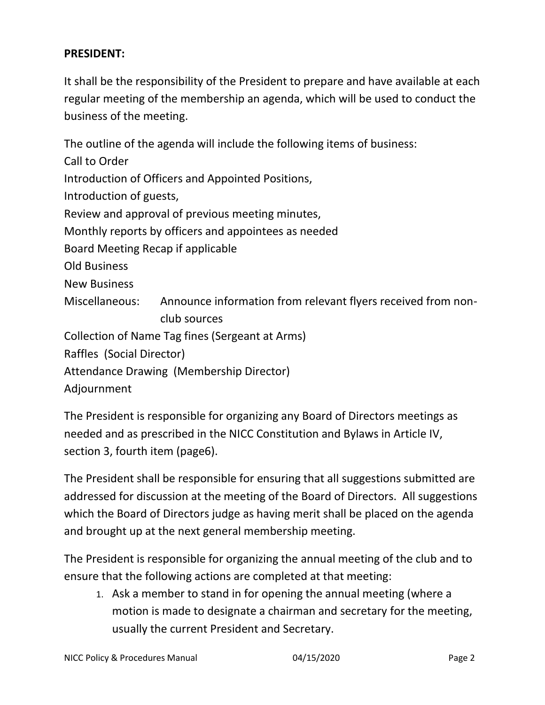# **PRESIDENT:**

It shall be the responsibility of the President to prepare and have available at each regular meeting of the membership an agenda, which will be used to conduct the business of the meeting.

The outline of the agenda will include the following items of business:

Call to Order

Introduction of Officers and Appointed Positions,

Introduction of guests,

Review and approval of previous meeting minutes,

Monthly reports by officers and appointees as needed

Board Meeting Recap if applicable

Old Business

New Business

Miscellaneous: Announce information from relevant flyers received from nonclub sources

Collection of Name Tag fines (Sergeant at Arms)

Raffles (Social Director)

Attendance Drawing (Membership Director)

Adjournment

The President is responsible for organizing any Board of Directors meetings as needed and as prescribed in the NICC Constitution and Bylaws in Article IV, section 3, fourth item (page6).

The President shall be responsible for ensuring that all suggestions submitted are addressed for discussion at the meeting of the Board of Directors. All suggestions which the Board of Directors judge as having merit shall be placed on the agenda and brought up at the next general membership meeting.

The President is responsible for organizing the annual meeting of the club and to ensure that the following actions are completed at that meeting:

1. Ask a member to stand in for opening the annual meeting (where a motion is made to designate a chairman and secretary for the meeting, usually the current President and Secretary.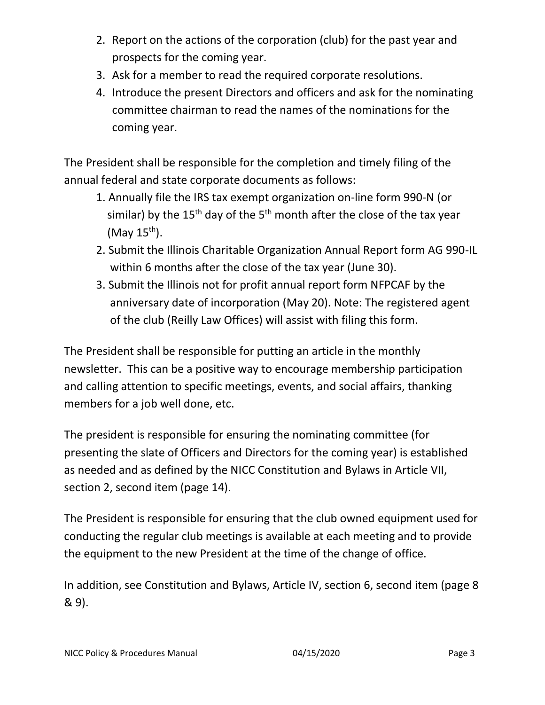- 2. Report on the actions of the corporation (club) for the past year and prospects for the coming year.
- 3. Ask for a member to read the required corporate resolutions.
- 4. Introduce the present Directors and officers and ask for the nominating committee chairman to read the names of the nominations for the coming year.

The President shall be responsible for the completion and timely filing of the annual federal and state corporate documents as follows:

- 1. Annually file the IRS tax exempt organization on-line form 990-N (or similar) by the 15<sup>th</sup> day of the 5<sup>th</sup> month after the close of the tax year  $(May 15<sup>th</sup>)$ .
- 2. Submit the Illinois Charitable Organization Annual Report form AG 990-IL within 6 months after the close of the tax year (June 30).
- 3. Submit the Illinois not for profit annual report form NFPCAF by the anniversary date of incorporation (May 20). Note: The registered agent of the club (Reilly Law Offices) will assist with filing this form.

The President shall be responsible for putting an article in the monthly newsletter. This can be a positive way to encourage membership participation and calling attention to specific meetings, events, and social affairs, thanking members for a job well done, etc.

The president is responsible for ensuring the nominating committee (for presenting the slate of Officers and Directors for the coming year) is established as needed and as defined by the NICC Constitution and Bylaws in Article VII, section 2, second item (page 14).

The President is responsible for ensuring that the club owned equipment used for conducting the regular club meetings is available at each meeting and to provide the equipment to the new President at the time of the change of office.

In addition, see Constitution and Bylaws, Article IV, section 6, second item (page 8 & 9).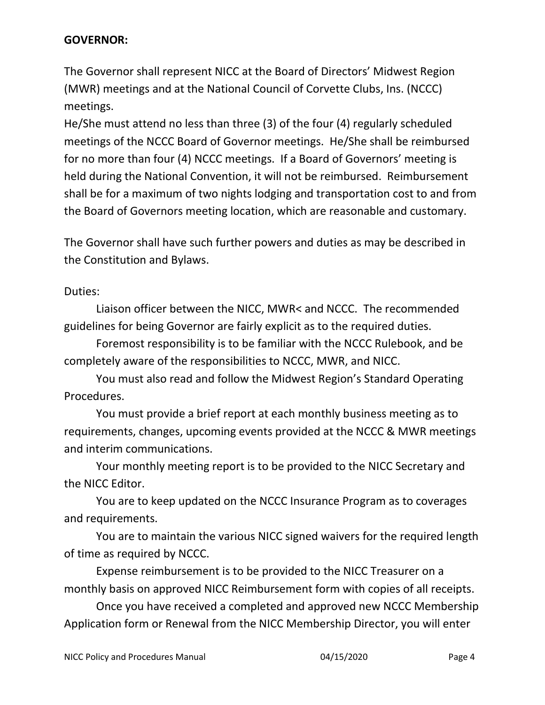# **GOVERNOR:**

The Governor shall represent NICC at the Board of Directors' Midwest Region (MWR) meetings and at the National Council of Corvette Clubs, Ins. (NCCC) meetings.

He/She must attend no less than three (3) of the four (4) regularly scheduled meetings of the NCCC Board of Governor meetings. He/She shall be reimbursed for no more than four (4) NCCC meetings. If a Board of Governors' meeting is held during the National Convention, it will not be reimbursed. Reimbursement shall be for a maximum of two nights lodging and transportation cost to and from the Board of Governors meeting location, which are reasonable and customary.

The Governor shall have such further powers and duties as may be described in the Constitution and Bylaws.

#### Duties:

Liaison officer between the NICC, MWR< and NCCC. The recommended guidelines for being Governor are fairly explicit as to the required duties.

Foremost responsibility is to be familiar with the NCCC Rulebook, and be completely aware of the responsibilities to NCCC, MWR, and NICC.

You must also read and follow the Midwest Region's Standard Operating Procedures.

You must provide a brief report at each monthly business meeting as to requirements, changes, upcoming events provided at the NCCC & MWR meetings and interim communications.

Your monthly meeting report is to be provided to the NICC Secretary and the NICC Editor.

You are to keep updated on the NCCC Insurance Program as to coverages and requirements.

You are to maintain the various NICC signed waivers for the required length of time as required by NCCC.

Expense reimbursement is to be provided to the NICC Treasurer on a monthly basis on approved NICC Reimbursement form with copies of all receipts.

Once you have received a completed and approved new NCCC Membership Application form or Renewal from the NICC Membership Director, you will enter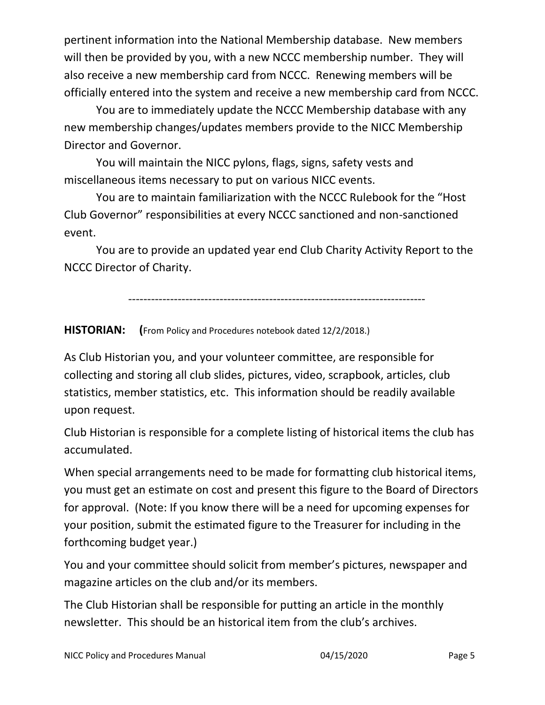pertinent information into the National Membership database. New members will then be provided by you, with a new NCCC membership number. They will also receive a new membership card from NCCC. Renewing members will be officially entered into the system and receive a new membership card from NCCC.

You are to immediately update the NCCC Membership database with any new membership changes/updates members provide to the NICC Membership Director and Governor.

You will maintain the NICC pylons, flags, signs, safety vests and miscellaneous items necessary to put on various NICC events.

You are to maintain familiarization with the NCCC Rulebook for the "Host Club Governor" responsibilities at every NCCC sanctioned and non-sanctioned event.

You are to provide an updated year end Club Charity Activity Report to the NCCC Director of Charity.

------------------------------------------------------------------------------

#### **HISTORIAN: (**From Policy and Procedures notebook dated 12/2/2018.)

As Club Historian you, and your volunteer committee, are responsible for collecting and storing all club slides, pictures, video, scrapbook, articles, club statistics, member statistics, etc. This information should be readily available upon request.

Club Historian is responsible for a complete listing of historical items the club has accumulated.

When special arrangements need to be made for formatting club historical items, you must get an estimate on cost and present this figure to the Board of Directors for approval. (Note: If you know there will be a need for upcoming expenses for your position, submit the estimated figure to the Treasurer for including in the forthcoming budget year.)

You and your committee should solicit from member's pictures, newspaper and magazine articles on the club and/or its members.

The Club Historian shall be responsible for putting an article in the monthly newsletter. This should be an historical item from the club's archives.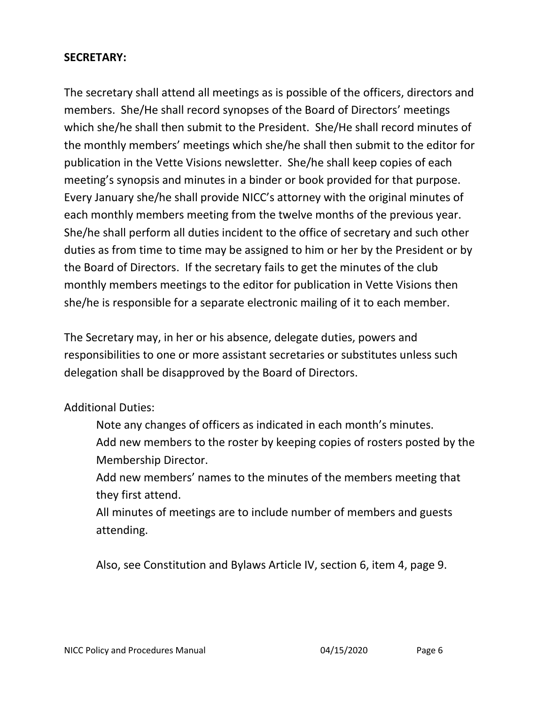### **SECRETARY:**

The secretary shall attend all meetings as is possible of the officers, directors and members. She/He shall record synopses of the Board of Directors' meetings which she/he shall then submit to the President. She/He shall record minutes of the monthly members' meetings which she/he shall then submit to the editor for publication in the Vette Visions newsletter. She/he shall keep copies of each meeting's synopsis and minutes in a binder or book provided for that purpose. Every January she/he shall provide NICC's attorney with the original minutes of each monthly members meeting from the twelve months of the previous year. She/he shall perform all duties incident to the office of secretary and such other duties as from time to time may be assigned to him or her by the President or by the Board of Directors. If the secretary fails to get the minutes of the club monthly members meetings to the editor for publication in Vette Visions then she/he is responsible for a separate electronic mailing of it to each member.

The Secretary may, in her or his absence, delegate duties, powers and responsibilities to one or more assistant secretaries or substitutes unless such delegation shall be disapproved by the Board of Directors.

Additional Duties:

- Note any changes of officers as indicated in each month's minutes. Add new members to the roster by keeping copies of rosters posted by the
- Membership Director.
- Add new members' names to the minutes of the members meeting that they first attend.
- All minutes of meetings are to include number of members and guests attending.

Also, see Constitution and Bylaws Article IV, section 6, item 4, page 9.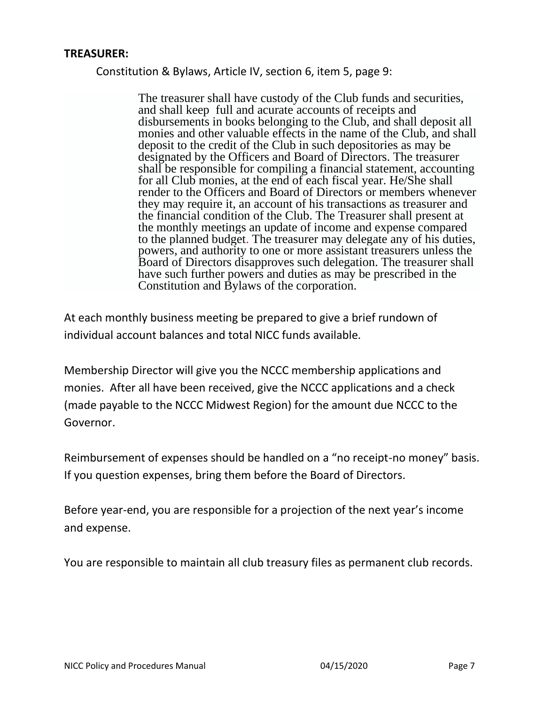#### **TREASURER:**

Constitution & Bylaws, Article IV, section 6, item 5, page 9:

The treasurer shall have custody of the Club funds and securities, and shall keep full and acurate accounts of receipts and disbursements in books belonging to the Club, and shall deposit all monies and other valuable effects in the name of the Club, and shall deposit to the credit of the Club in such depositories as may be designated by the Officers and Board of Directors. The treasurer shall be responsible for compiling a financial statement, accounting for all Club monies, at the end of each fiscal year. He/She shall render to the Officers and Board of Directors or members whenever they may require it, an account of his transactions as treasurer and the financial condition of the Club. The Treasurer shall present at the monthly meetings an update of income and expense compared to the planned budget. The treasurer may delegate any of his duties, powers, and authority to one or more assistant treasurers unless the Board of Directors disapproves such delegation. The treasurer shall have such further powers and duties as may be prescribed in the Constitution and Bylaws of the corporation.

At each monthly business meeting be prepared to give a brief rundown of individual account balances and total NICC funds available.

Membership Director will give you the NCCC membership applications and monies. After all have been received, give the NCCC applications and a check (made payable to the NCCC Midwest Region) for the amount due NCCC to the Governor.

Reimbursement of expenses should be handled on a "no receipt-no money" basis. If you question expenses, bring them before the Board of Directors.

Before year-end, you are responsible for a projection of the next year's income and expense.

You are responsible to maintain all club treasury files as permanent club records.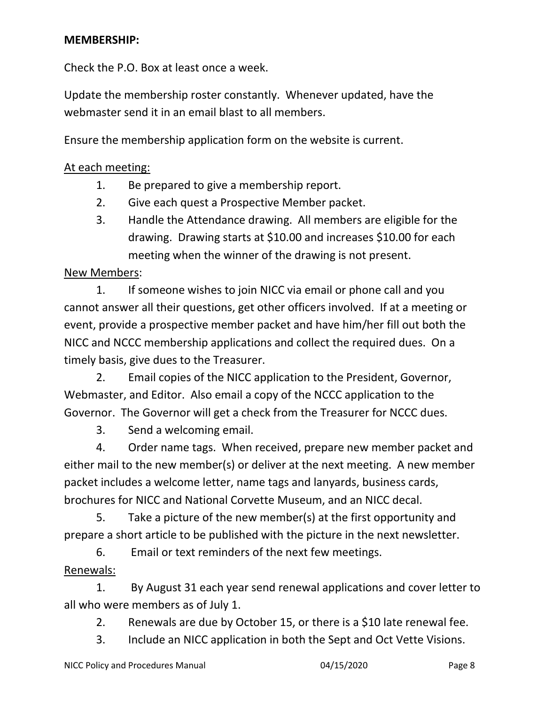### **MEMBERSHIP:**

Check the P.O. Box at least once a week.

Update the membership roster constantly. Whenever updated, have the webmaster send it in an email blast to all members.

Ensure the membership application form on the website is current.

#### At each meeting:

- 1. Be prepared to give a membership report.
- 2. Give each quest a Prospective Member packet.
- 3. Handle the Attendance drawing. All members are eligible for the drawing. Drawing starts at \$10.00 and increases \$10.00 for each meeting when the winner of the drawing is not present.

#### New Members:

1. If someone wishes to join NICC via email or phone call and you cannot answer all their questions, get other officers involved. If at a meeting or event, provide a prospective member packet and have him/her fill out both the NICC and NCCC membership applications and collect the required dues. On a timely basis, give dues to the Treasurer.

2. Email copies of the NICC application to the President, Governor, Webmaster, and Editor. Also email a copy of the NCCC application to the Governor. The Governor will get a check from the Treasurer for NCCC dues.

3. Send a welcoming email.

4. Order name tags. When received, prepare new member packet and either mail to the new member(s) or deliver at the next meeting. A new member packet includes a welcome letter, name tags and lanyards, business cards, brochures for NICC and National Corvette Museum, and an NICC decal.

5. Take a picture of the new member(s) at the first opportunity and prepare a short article to be published with the picture in the next newsletter.

6. Email or text reminders of the next few meetings.

#### Renewals:

1. By August 31 each year send renewal applications and cover letter to all who were members as of July 1.

2. Renewals are due by October 15, or there is a \$10 late renewal fee.

3. Include an NICC application in both the Sept and Oct Vette Visions.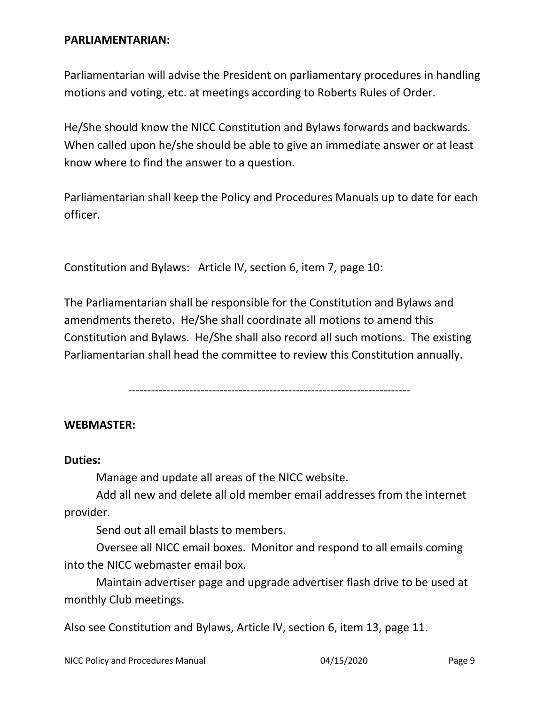#### **PARLIAMENTARIAN:**

Parliamentarian will advise the President on parliamentary procedures in handling motions and voting, etc. at meetings according to Roberts Rules of Order.

He/She should know the NICC Constitution and Bylaws forwards and backwards. When called upon he/she should be able to give an immediate answer or at least know where to find the answer to a question.

Parliamentarian shall keep the Policy and Procedures Manuals up to date for each officer.

Constitution and Bylaws: Article IV, section 6, item 7, page 10:

The Parliamentarian shall be responsible for the Constitution and Bylaws and amendments thereto. He/She shall coordinate all motions to amend this Constitution and Bylaws. He/She shall also record all such motions. The existing Parliamentarian shall head the committee to review this Constitution annually.

--------------------------------------------------------------------------

### **WEBMASTER:**

#### **Duties:**

Manage and update all areas of the NICC website.

Add all new and delete all old member email addresses from the internet provider.

Send out all email blasts to members.

Oversee all NICC email boxes. Monitor and respond to all emails coming into the NICC webmaster email box.

Maintain advertiser page and upgrade advertiser flash drive to be used at monthly Club meetings.

Also see Constitution and Bylaws, Article IV, section 6, item 13, page 11.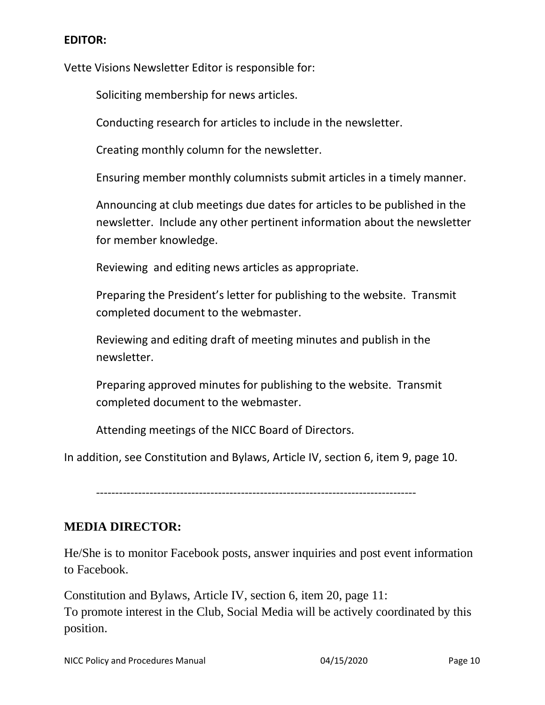#### **EDITOR:**

Vette Visions Newsletter Editor is responsible for:

Soliciting membership for news articles.

Conducting research for articles to include in the newsletter.

Creating monthly column for the newsletter.

Ensuring member monthly columnists submit articles in a timely manner.

Announcing at club meetings due dates for articles to be published in the newsletter. Include any other pertinent information about the newsletter for member knowledge.

Reviewing and editing news articles as appropriate.

Preparing the President's letter for publishing to the website. Transmit completed document to the webmaster.

Reviewing and editing draft of meeting minutes and publish in the newsletter.

Preparing approved minutes for publishing to the website. Transmit completed document to the webmaster.

Attending meetings of the NICC Board of Directors.

In addition, see Constitution and Bylaws, Article IV, section 6, item 9, page 10.

------------------------------------------------------------------------------------

# **MEDIA DIRECTOR:**

He/She is to monitor Facebook posts, answer inquiries and post event information to Facebook.

Constitution and Bylaws, Article IV, section 6, item 20, page 11: To promote interest in the Club, Social Media will be actively coordinated by this position.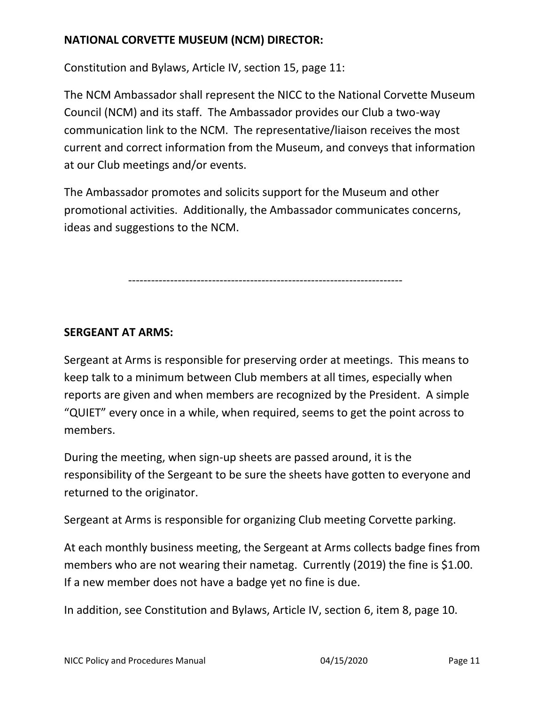# **NATIONAL CORVETTE MUSEUM (NCM) DIRECTOR:**

Constitution and Bylaws, Article IV, section 15, page 11:

The NCM Ambassador shall represent the NICC to the National Corvette Museum Council (NCM) and its staff. The Ambassador provides our Club a two-way communication link to the NCM. The representative/liaison receives the most current and correct information from the Museum, and conveys that information at our Club meetings and/or events.

The Ambassador promotes and solicits support for the Museum and other promotional activities. Additionally, the Ambassador communicates concerns, ideas and suggestions to the NCM.

------------------------------------------------------------------------

#### **SERGEANT AT ARMS:**

Sergeant at Arms is responsible for preserving order at meetings. This means to keep talk to a minimum between Club members at all times, especially when reports are given and when members are recognized by the President. A simple "QUIET" every once in a while, when required, seems to get the point across to members.

During the meeting, when sign-up sheets are passed around, it is the responsibility of the Sergeant to be sure the sheets have gotten to everyone and returned to the originator.

Sergeant at Arms is responsible for organizing Club meeting Corvette parking.

At each monthly business meeting, the Sergeant at Arms collects badge fines from members who are not wearing their nametag. Currently (2019) the fine is \$1.00. If a new member does not have a badge yet no fine is due.

In addition, see Constitution and Bylaws, Article IV, section 6, item 8, page 10.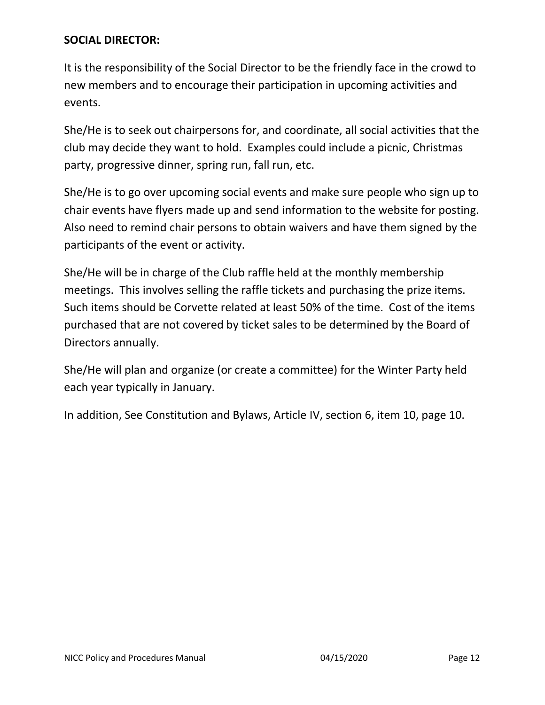# **SOCIAL DIRECTOR:**

It is the responsibility of the Social Director to be the friendly face in the crowd to new members and to encourage their participation in upcoming activities and events.

She/He is to seek out chairpersons for, and coordinate, all social activities that the club may decide they want to hold. Examples could include a picnic, Christmas party, progressive dinner, spring run, fall run, etc.

She/He is to go over upcoming social events and make sure people who sign up to chair events have flyers made up and send information to the website for posting. Also need to remind chair persons to obtain waivers and have them signed by the participants of the event or activity.

She/He will be in charge of the Club raffle held at the monthly membership meetings. This involves selling the raffle tickets and purchasing the prize items. Such items should be Corvette related at least 50% of the time. Cost of the items purchased that are not covered by ticket sales to be determined by the Board of Directors annually.

She/He will plan and organize (or create a committee) for the Winter Party held each year typically in January.

In addition, See Constitution and Bylaws, Article IV, section 6, item 10, page 10.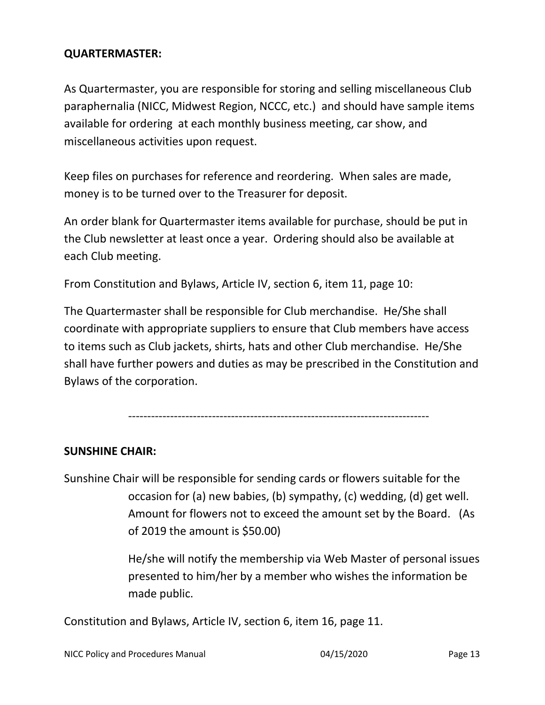## **QUARTERMASTER:**

As Quartermaster, you are responsible for storing and selling miscellaneous Club paraphernalia (NICC, Midwest Region, NCCC, etc.) and should have sample items available for ordering at each monthly business meeting, car show, and miscellaneous activities upon request.

Keep files on purchases for reference and reordering. When sales are made, money is to be turned over to the Treasurer for deposit.

An order blank for Quartermaster items available for purchase, should be put in the Club newsletter at least once a year. Ordering should also be available at each Club meeting.

From Constitution and Bylaws, Article IV, section 6, item 11, page 10:

The Quartermaster shall be responsible for Club merchandise. He/She shall coordinate with appropriate suppliers to ensure that Club members have access to items such as Club jackets, shirts, hats and other Club merchandise. He/She shall have further powers and duties as may be prescribed in the Constitution and Bylaws of the corporation.

-------------------------------------------------------------------------------

### **SUNSHINE CHAIR:**

Sunshine Chair will be responsible for sending cards or flowers suitable for the occasion for (a) new babies, (b) sympathy, (c) wedding, (d) get well. Amount for flowers not to exceed the amount set by the Board. (As of 2019 the amount is \$50.00)

> He/she will notify the membership via Web Master of personal issues presented to him/her by a member who wishes the information be made public.

Constitution and Bylaws, Article IV, section 6, item 16, page 11.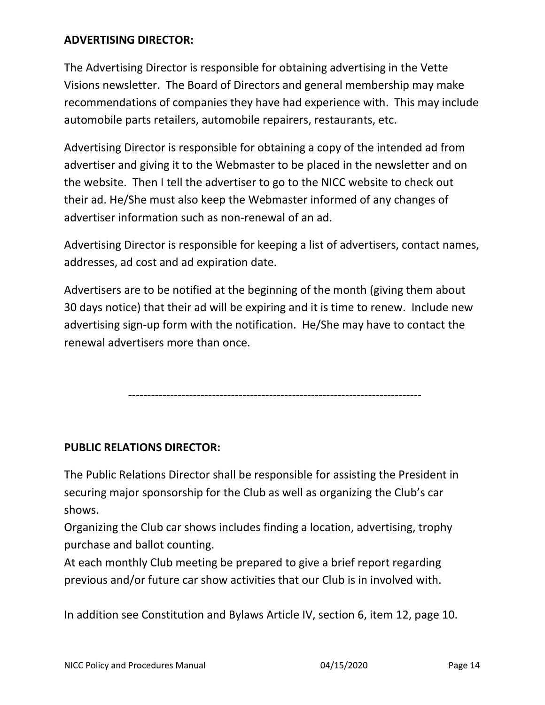# **ADVERTISING DIRECTOR:**

The Advertising Director is responsible for obtaining advertising in the Vette Visions newsletter. The Board of Directors and general membership may make recommendations of companies they have had experience with. This may include automobile parts retailers, automobile repairers, restaurants, etc.

Advertising Director is responsible for obtaining a copy of the intended ad from advertiser and giving it to the Webmaster to be placed in the newsletter and on the website. Then I tell the advertiser to go to the NICC website to check out their ad. He/She must also keep the Webmaster informed of any changes of advertiser information such as non-renewal of an ad.

Advertising Director is responsible for keeping a list of advertisers, contact names, addresses, ad cost and ad expiration date.

Advertisers are to be notified at the beginning of the month (giving them about 30 days notice) that their ad will be expiring and it is time to renew. Include new advertising sign-up form with the notification. He/She may have to contact the renewal advertisers more than once.

-----------------------------------------------------------------------------

### **PUBLIC RELATIONS DIRECTOR:**

The Public Relations Director shall be responsible for assisting the President in securing major sponsorship for the Club as well as organizing the Club's car shows.

Organizing the Club car shows includes finding a location, advertising, trophy purchase and ballot counting.

At each monthly Club meeting be prepared to give a brief report regarding previous and/or future car show activities that our Club is in involved with.

In addition see Constitution and Bylaws Article IV, section 6, item 12, page 10.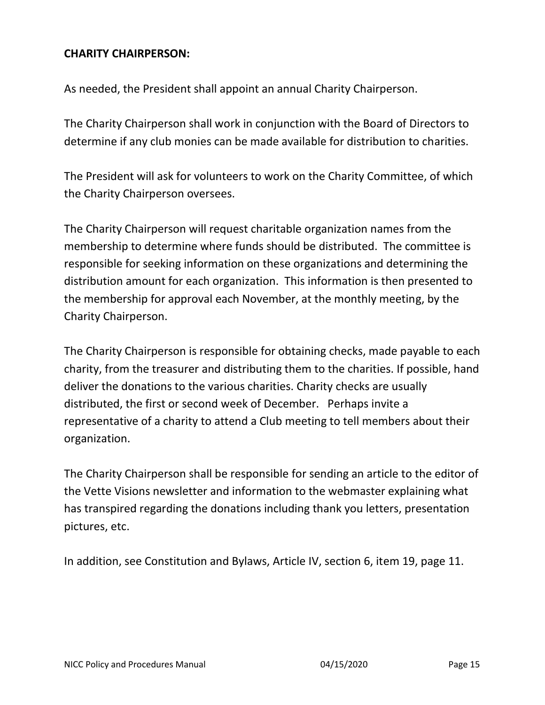## **CHARITY CHAIRPERSON:**

As needed, the President shall appoint an annual Charity Chairperson.

The Charity Chairperson shall work in conjunction with the Board of Directors to determine if any club monies can be made available for distribution to charities.

The President will ask for volunteers to work on the Charity Committee, of which the Charity Chairperson oversees.

The Charity Chairperson will request charitable organization names from the membership to determine where funds should be distributed. The committee is responsible for seeking information on these organizations and determining the distribution amount for each organization. This information is then presented to the membership for approval each November, at the monthly meeting, by the Charity Chairperson.

The Charity Chairperson is responsible for obtaining checks, made payable to each charity, from the treasurer and distributing them to the charities. If possible, hand deliver the donations to the various charities. Charity checks are usually distributed, the first or second week of December. Perhaps invite a representative of a charity to attend a Club meeting to tell members about their organization.

The Charity Chairperson shall be responsible for sending an article to the editor of the Vette Visions newsletter and information to the webmaster explaining what has transpired regarding the donations including thank you letters, presentation pictures, etc.

In addition, see Constitution and Bylaws, Article IV, section 6, item 19, page 11.